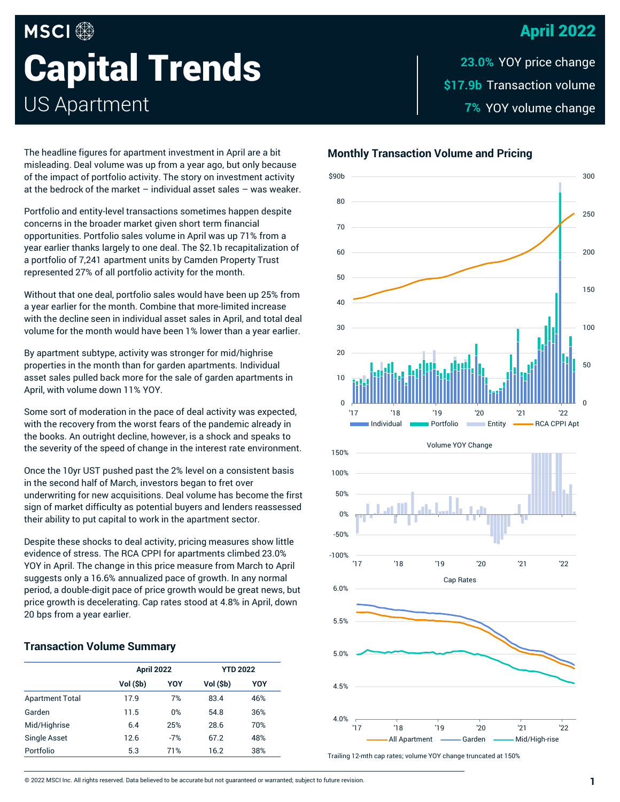# April 2022

# **MSCI Capital Trends** US Apartment

\$17.**9b** Transaction volume YOY volume change **7% 23.0%**

The headline figures for apartment investment in April are a bit misleading. Deal volume was up from a year ago, but only because of the impact of portfolio activity. The story on investment activity at the bedrock of the market – individual asset sales – was weaker.

Portfolio and entity-level transactions sometimes happen despite concerns in the broader market given short term financial opportunities. Portfolio sales volume in April was up 71% from a year earlier thanks largely to one deal. The \$2.1b recapitalization of a portfolio of 7,241 apartment units by Camden Property Trust represented 27% of all portfolio activity for the month.

Without that one deal, portfolio sales would have been up 25% from a year earlier for the month. Combine that more-limited increase with the decline seen in individual asset sales in April, and total deal volume for the month would have been 1% lower than a year earlier.

By apartment subtype, activity was stronger for mid/highrise properties in the month than for garden apartments. Individual asset sales pulled back more for the sale of garden apartments in April, with volume down 11% YOY.

Some sort of moderation in the pace of deal activity was expected, with the recovery from the worst fears of the pandemic already in the books. An outright decline, however, is a shock and speaks to the severity of the speed of change in the interest rate environment.

Once the 10yr UST pushed past the 2% level on a consistent basis in the second half of March, investors began to fret over underwriting for new acquisitions. Deal volume has become the first sign of market difficulty as potential buyers and lenders reassessed their ability to put capital to work in the apartment sector.

Despite these shocks to deal activity, pricing measures show little evidence of stress. The RCA CPPI for apartments climbed 23.0% YOY in April. The change in this price measure from March to April suggests only a 16.6% annualized pace of growth. In any normal period, a double-digit pace of price growth would be great news, but price growth is decelerating. Cap rates stood at 4.8% in April, down 20 bps from a year earlier.

#### **Transaction Volume Summary**

|                        | <b>April 2022</b> |            | <b>YTD 2022</b> |     |
|------------------------|-------------------|------------|-----------------|-----|
|                        | Vol (\$b)         | <b>YOY</b> | Vol (\$b)       | YOY |
| <b>Apartment Total</b> | 17.9              | 7%         | 83.4            | 46% |
| Garden                 | 11.5              | 0%         | 54.8            | 36% |
| Mid/Highrise           | 6.4               | 25%        | 28.6            | 70% |
| <b>Single Asset</b>    | 12.6              | $-7%$      | 67.2            | 48% |
| Portfolio              | 5.3               | 71%        | 16.2            | 38% |





Trailing 12-mth cap rates; volume YOY change truncated at 150%